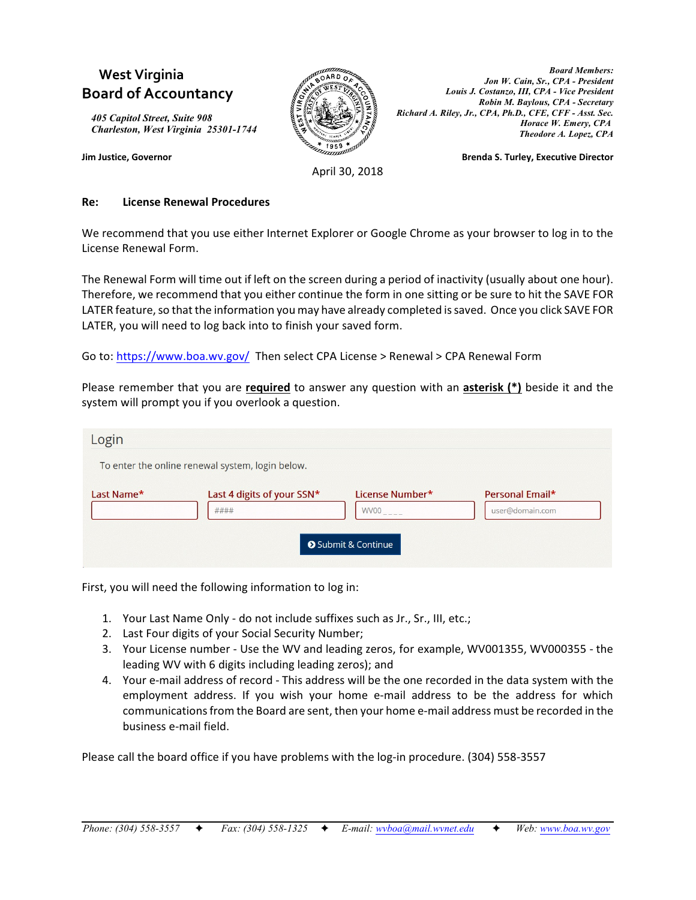# **West Virginia Board of Accountancy**

*405 Capitol Street, Suite 908 Charleston, West Virginia 25301-1744*



*Board Members: Jon W. Cain, Sr., CPA - President Louis J. Costanzo, III, CPA - Vice President Robin M. Baylous, CPA - Secretary Richard A. Riley, Jr., CPA, Ph.D., CFE, CFF - Asst. Sec. Horace W. Emery, CPA Theodore A. Lopez, CPA*

**Jim Justice, Governor Brenda S. Turley, Executive Director**

April 30, 2018

#### **Re: License Renewal Procedures**

We recommend that you use either Internet Explorer or Google Chrome as your browser to log in to the License Renewal Form.

The Renewal Form will time out if left on the screen during a period of inactivity (usually about one hour). Therefore, we recommend that you either continue the form in one sitting or be sure to hit the SAVE FOR LATER feature, so that the information you may have already completed is saved. Once you click SAVE FOR LATER, you will need to log back into to finish your saved form.

Go to:<https://www.boa.wv.gov/> Then select CPA License > Renewal > CPA Renewal Form

Please remember that you are **required** to answer any question with an **asterisk (\*)** beside it and the system will prompt you if you overlook a question.

| Login                                            |                                    |                                                                           |                                    |
|--------------------------------------------------|------------------------------------|---------------------------------------------------------------------------|------------------------------------|
| To enter the online renewal system, login below. |                                    |                                                                           |                                    |
| Last Name*                                       | Last 4 digits of your SSN*<br>#### | License Number*<br><b>WV00</b><br>$- - - -$<br><b>O</b> Submit & Continue | Personal Email*<br>user@domain.com |

First, you will need the following information to log in:

- 1. Your Last Name Only do not include suffixes such as Jr., Sr., III, etc.;
- 2. Last Four digits of your Social Security Number;
- 3. Your License number Use the WV and leading zeros, for example, WV001355, WV000355 the leading WV with 6 digits including leading zeros); and
- 4. Your e-mail address of record This address will be the one recorded in the data system with the employment address. If you wish your home e-mail address to be the address for which communications from the Board are sent, then your home e-mail address must be recorded in the business e-mail field.

Please call the board office if you have problems with the log-in procedure. (304) 558-3557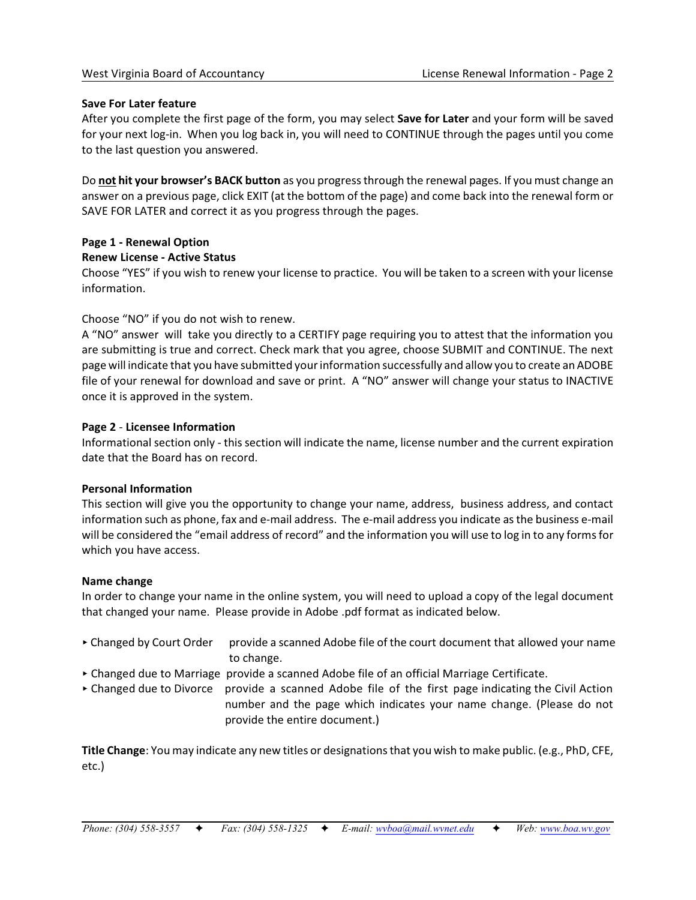#### **Save For Later feature**

After you complete the first page of the form, you may select **Save for Later** and your form will be saved for your next log-in. When you log back in, you will need to CONTINUE through the pages until you come to the last question you answered.

Do **not hit your browser's BACK button** as you progress through the renewal pages. If you must change an answer on a previous page, click EXIT (at the bottom of the page) and come back into the renewal form or SAVE FOR LATER and correct it as you progress through the pages.

# **Page 1 - Renewal Option**

**Renew License - Active Status**

Choose "YES" if you wish to renew your license to practice. You will be taken to a screen with your license information.

# Choose "NO" if you do not wish to renew.

A "NO" answer will take you directly to a CERTIFY page requiring you to attest that the information you are submitting is true and correct. Check mark that you agree, choose SUBMIT and CONTINUE. The next page will indicate that you have submitted your information successfully and allow you to create an ADOBE file of your renewal for download and save or print. A "NO" answer will change your status to INACTIVE once it is approved in the system.

# **Page 2** - **Licensee Information**

Informational section only - this section will indicate the name, license number and the current expiration date that the Board has on record.

#### **Personal Information**

This section will give you the opportunity to change your name, address, business address, and contact information such as phone, fax and e-mail address. The e-mail address you indicate as the business e-mail will be considered the "email address of record" and the information you will use to log in to any forms for which you have access.

#### **Name change**

In order to change your name in the online system, you will need to upload a copy of the legal document that changed your name. Please provide in Adobe .pdf format as indicated below.

- ▶ Changed by Court Order provide a scanned Adobe file of the court document that allowed your name to change.
- < Changed due to Marriage provide a scanned Adobe file of an official Marriage Certificate.
- Changed due to Divorce provide a scanned Adobe file of the first page indicating the Civil Action number and the page which indicates your name change. (Please do not provide the entire document.)

**Title Change**: You may indicate any new titles or designations that you wish to make public. (e.g., PhD, CFE, etc.)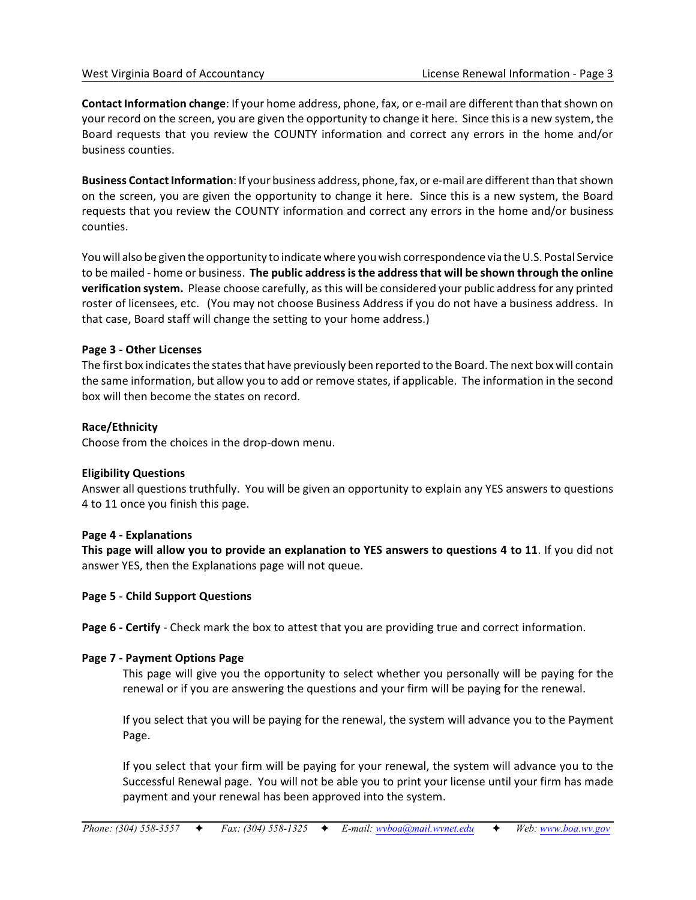**Contact Information change**: If your home address, phone, fax, or e-mail are different than that shown on your record on the screen, you are given the opportunity to change it here. Since this is a new system, the Board requests that you review the COUNTY information and correct any errors in the home and/or business counties.

**Business Contact Information**: If your business address, phone, fax, or e-mail are different than that shown on the screen, you are given the opportunity to change it here. Since this is a new system, the Board requests that you review the COUNTY information and correct any errors in the home and/or business counties.

You will also be given the opportunity to indicate where you wish correspondence via the U.S. Postal Service to be mailed - home or business. **The public address is the address that will be shown through the online verification system.** Please choose carefully, as this will be considered your public address for any printed roster of licensees, etc. (You may not choose Business Address if you do not have a business address. In that case, Board staff will change the setting to your home address.)

#### **Page 3 - Other Licenses**

The first box indicates the states that have previously been reported to the Board. The next box will contain the same information, but allow you to add or remove states, if applicable. The information in the second box will then become the states on record.

# **Race/Ethnicity**

Choose from the choices in the drop-down menu.

#### **Eligibility Questions**

Answer all questions truthfully. You will be given an opportunity to explain any YES answers to questions 4 to 11 once you finish this page.

#### **Page 4 - Explanations**

**This page will allow you to provide an explanation to YES answers to questions 4 to 11**. If you did not answer YES, then the Explanations page will not queue.

#### **Page 5** - **Child Support Questions**

**Page 6 - Certify** - Check mark the box to attest that you are providing true and correct information.

#### **Page 7 - Payment Options Page**

This page will give you the opportunity to select whether you personally will be paying for the renewal or if you are answering the questions and your firm will be paying for the renewal.

If you select that you will be paying for the renewal, the system will advance you to the Payment Page.

If you select that your firm will be paying for your renewal, the system will advance you to the Successful Renewal page. You will not be able you to print your license until your firm has made payment and your renewal has been approved into the system.